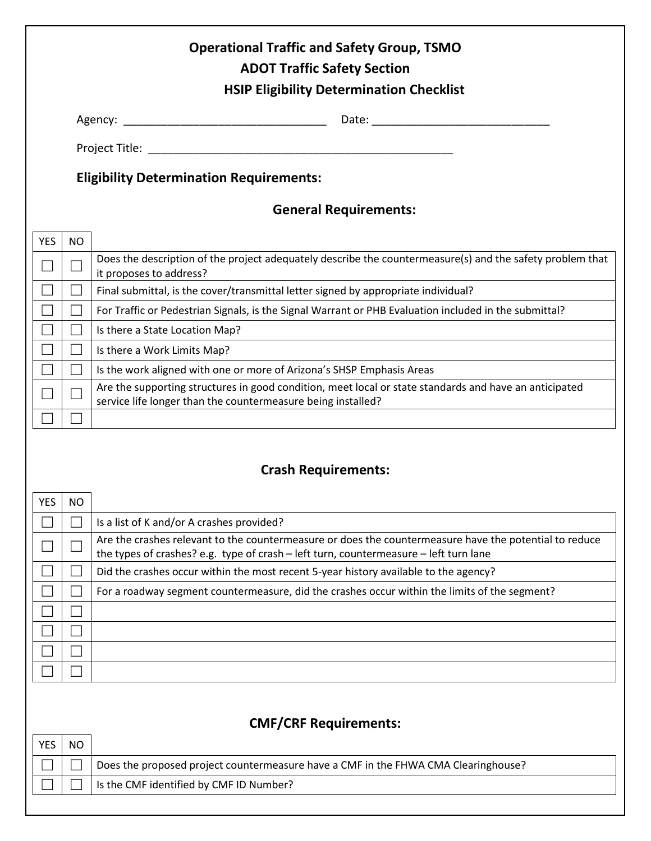| <b>Operational Traffic and Safety Group, TSMO</b><br><b>ADOT Traffic Safety Section</b><br><b>HSIP Eligibility Determination Checklist</b> |           |                                                                                                                                                                                                 |  |  |  |  |
|--------------------------------------------------------------------------------------------------------------------------------------------|-----------|-------------------------------------------------------------------------------------------------------------------------------------------------------------------------------------------------|--|--|--|--|
|                                                                                                                                            |           |                                                                                                                                                                                                 |  |  |  |  |
|                                                                                                                                            |           |                                                                                                                                                                                                 |  |  |  |  |
|                                                                                                                                            |           |                                                                                                                                                                                                 |  |  |  |  |
| <b>Eligibility Determination Requirements:</b>                                                                                             |           |                                                                                                                                                                                                 |  |  |  |  |
| <b>General Requirements:</b>                                                                                                               |           |                                                                                                                                                                                                 |  |  |  |  |
| <b>YES</b>                                                                                                                                 | <b>NO</b> |                                                                                                                                                                                                 |  |  |  |  |
|                                                                                                                                            |           | Does the description of the project adequately describe the countermeasure(s) and the safety problem that<br>it proposes to address?                                                            |  |  |  |  |
|                                                                                                                                            |           | Final submittal, is the cover/transmittal letter signed by appropriate individual?                                                                                                              |  |  |  |  |
|                                                                                                                                            |           | For Traffic or Pedestrian Signals, is the Signal Warrant or PHB Evaluation included in the submittal?                                                                                           |  |  |  |  |
|                                                                                                                                            |           | Is there a State Location Map?                                                                                                                                                                  |  |  |  |  |
|                                                                                                                                            |           | Is there a Work Limits Map?                                                                                                                                                                     |  |  |  |  |
|                                                                                                                                            |           | Is the work aligned with one or more of Arizona's SHSP Emphasis Areas                                                                                                                           |  |  |  |  |
|                                                                                                                                            |           | Are the supporting structures in good condition, meet local or state standards and have an anticipated<br>service life longer than the countermeasure being installed?                          |  |  |  |  |
|                                                                                                                                            |           |                                                                                                                                                                                                 |  |  |  |  |
| <b>Crash Requirements:</b>                                                                                                                 |           |                                                                                                                                                                                                 |  |  |  |  |
| <b>YES</b>                                                                                                                                 | <b>NO</b> |                                                                                                                                                                                                 |  |  |  |  |
|                                                                                                                                            |           | Is a list of K and/or A crashes provided?                                                                                                                                                       |  |  |  |  |
|                                                                                                                                            |           | Are the crashes relevant to the countermeasure or does the countermeasure have the potential to reduce<br>the types of crashes? e.g. type of crash - left turn, countermeasure - left turn lane |  |  |  |  |
|                                                                                                                                            |           | Did the crashes occur within the most recent 5-year history available to the agency?                                                                                                            |  |  |  |  |
|                                                                                                                                            |           | For a roadway segment countermeasure, did the crashes occur within the limits of the segment?                                                                                                   |  |  |  |  |
|                                                                                                                                            |           |                                                                                                                                                                                                 |  |  |  |  |
|                                                                                                                                            |           |                                                                                                                                                                                                 |  |  |  |  |
|                                                                                                                                            |           |                                                                                                                                                                                                 |  |  |  |  |
|                                                                                                                                            |           |                                                                                                                                                                                                 |  |  |  |  |
| <b>CMF/CRF Requirements:</b>                                                                                                               |           |                                                                                                                                                                                                 |  |  |  |  |
| <b>YES</b>                                                                                                                                 | <b>NO</b> |                                                                                                                                                                                                 |  |  |  |  |
|                                                                                                                                            |           | Does the proposed project countermeasure have a CMF in the FHWA CMA Clearinghouse?                                                                                                              |  |  |  |  |

Is the CMF identified by CMF ID Number?